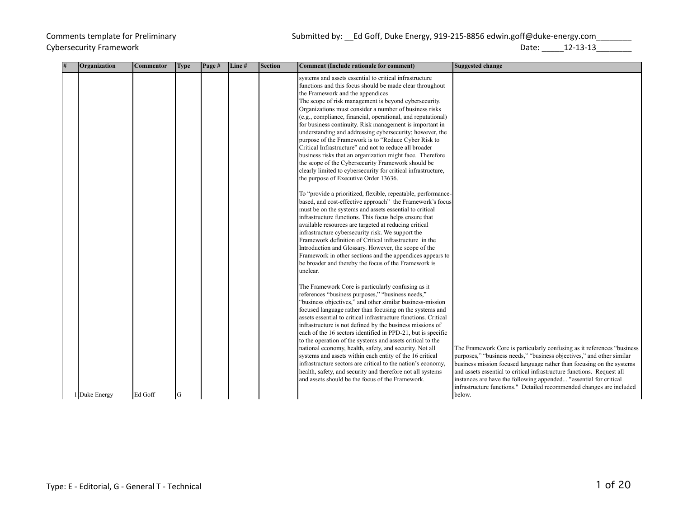## Cybersecurity Framework 2001 2012 12-13-13

### Comments template for Preliminary and Submitted by: \_\_Ed Goff, Duke Energy, 919-215-8856 edwin.goff@duke-energy.com

| Organization  | Commentor | <b>Type</b> | Page # | Line# | <b>Section</b> | <b>Comment (Include rationale for comment)</b>                                                                                                                                                                                                                                                                                                                                                                                                                                                                                                                                                                                                                                                                                                                                                                                                                                                                                                                                                                                                                                                                                                                                                                                                                                                                                                                                                                                                                                                                                                                                                                                                                                                                                                                                                                                                                                                                                                                                                                                                                                                                                                                                                                                                   | <b>Suggested change</b>                                                                                                                                                                                                                                                                                                                                                   |
|---------------|-----------|-------------|--------|-------|----------------|--------------------------------------------------------------------------------------------------------------------------------------------------------------------------------------------------------------------------------------------------------------------------------------------------------------------------------------------------------------------------------------------------------------------------------------------------------------------------------------------------------------------------------------------------------------------------------------------------------------------------------------------------------------------------------------------------------------------------------------------------------------------------------------------------------------------------------------------------------------------------------------------------------------------------------------------------------------------------------------------------------------------------------------------------------------------------------------------------------------------------------------------------------------------------------------------------------------------------------------------------------------------------------------------------------------------------------------------------------------------------------------------------------------------------------------------------------------------------------------------------------------------------------------------------------------------------------------------------------------------------------------------------------------------------------------------------------------------------------------------------------------------------------------------------------------------------------------------------------------------------------------------------------------------------------------------------------------------------------------------------------------------------------------------------------------------------------------------------------------------------------------------------------------------------------------------------------------------------------------------------|---------------------------------------------------------------------------------------------------------------------------------------------------------------------------------------------------------------------------------------------------------------------------------------------------------------------------------------------------------------------------|
|               |           |             |        |       |                | systems and assets essential to critical infrastructure<br>functions and this focus should be made clear throughout<br>the Framework and the appendices<br>The scope of risk management is beyond cybersecurity.<br>Organizations must consider a number of business risks<br>(e.g., compliance, financial, operational, and reputational)<br>for business continuity. Risk management is important in<br>understanding and addressing cybersecurity; however, the<br>purpose of the Framework is to "Reduce Cyber Risk to<br>Critical Infrastructure" and not to reduce all broader<br>business risks that an organization might face. Therefore<br>the scope of the Cybersecurity Framework should be<br>clearly limited to cybersecurity for critical infrastructure,<br>the purpose of Executive Order 13636.<br>To "provide a prioritized, flexible, repeatable, performance-<br>based, and cost-effective approach" the Framework's focus<br>must be on the systems and assets essential to critical<br>infrastructure functions. This focus helps ensure that<br>available resources are targeted at reducing critical<br>infrastructure cybersecurity risk. We support the<br>Framework definition of Critical infrastructure in the<br>Introduction and Glossary. However, the scope of the<br>Framework in other sections and the appendices appears to<br>be broader and thereby the focus of the Framework is<br>unclear.<br>The Framework Core is particularly confusing as it<br>references "business purposes," "business needs,"<br>"business objectives," and other similar business-mission<br>focused language rather than focusing on the systems and<br>assets essential to critical infrastructure functions. Critical<br>infrastructure is not defined by the business missions of<br>each of the 16 sectors identified in PPD-21, but is specific<br>to the operation of the systems and assets critical to the<br>national economy, health, safety, and security. Not all<br>systems and assets within each entity of the 16 critical<br>infrastructure sectors are critical to the nation's economy,<br>health, safety, and security and therefore not all systems<br>and assets should be the focus of the Framework. | The Framework Core is particularly confusing as it references "business"<br>purposes," "business needs," "business objectives," and other similar<br>business mission focused language rather than focusing on the systems<br>and assets essential to critical infrastructure functions. Request all<br>instances are have the following appended "essential for critical |
| 1 Duke Energy | Ed Goff   | G           |        |       |                |                                                                                                                                                                                                                                                                                                                                                                                                                                                                                                                                                                                                                                                                                                                                                                                                                                                                                                                                                                                                                                                                                                                                                                                                                                                                                                                                                                                                                                                                                                                                                                                                                                                                                                                                                                                                                                                                                                                                                                                                                                                                                                                                                                                                                                                  | infrastructure functions." Detailed recommended changes are included<br>below.                                                                                                                                                                                                                                                                                            |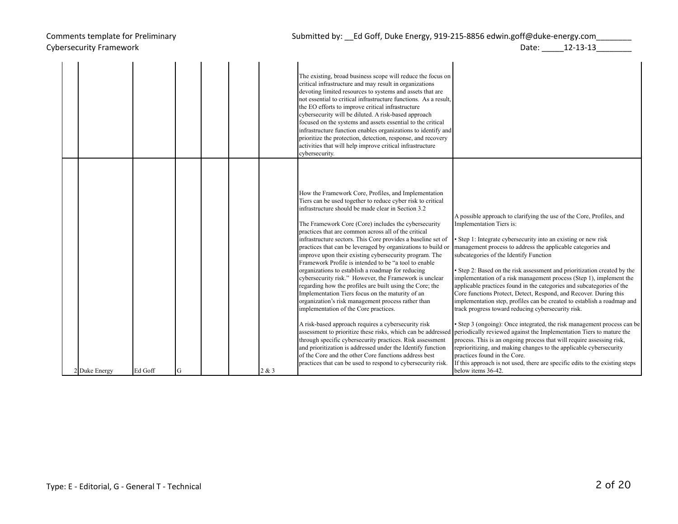## Cybersecurity Framework 2001 and the Cybersecurity Framework 2014 and the Cybersecurity Framework 2014

|               |         |   |  |       | The existing, broad business scope will reduce the focus on<br>critical infrastructure and may result in organizations<br>devoting limited resources to systems and assets that are<br>not essential to critical infrastructure functions. As a result.<br>the EO efforts to improve critical infrastructure<br>cybersecurity will be diluted. A risk-based approach<br>focused on the systems and assets essential to the critical<br>infrastructure function enables organizations to identify and<br>prioritize the protection, detection, response, and recovery<br>activities that will help improve critical infrastructure<br>cybersecurity.                                                                                                                                                                                                                                                                                                                                                                                                                                                                                                                                                                                                     |                                                                                                                                                                                                                                                                                                                                                                                                                                                                                                                                                                                                                                                                                                                                                                                                                                                                                                                                                                                                                                                                                                                                                       |
|---------------|---------|---|--|-------|---------------------------------------------------------------------------------------------------------------------------------------------------------------------------------------------------------------------------------------------------------------------------------------------------------------------------------------------------------------------------------------------------------------------------------------------------------------------------------------------------------------------------------------------------------------------------------------------------------------------------------------------------------------------------------------------------------------------------------------------------------------------------------------------------------------------------------------------------------------------------------------------------------------------------------------------------------------------------------------------------------------------------------------------------------------------------------------------------------------------------------------------------------------------------------------------------------------------------------------------------------|-------------------------------------------------------------------------------------------------------------------------------------------------------------------------------------------------------------------------------------------------------------------------------------------------------------------------------------------------------------------------------------------------------------------------------------------------------------------------------------------------------------------------------------------------------------------------------------------------------------------------------------------------------------------------------------------------------------------------------------------------------------------------------------------------------------------------------------------------------------------------------------------------------------------------------------------------------------------------------------------------------------------------------------------------------------------------------------------------------------------------------------------------------|
| 2 Duke Energy | Ed Goff | G |  | 2 & 3 | How the Framework Core, Profiles, and Implementation<br>Tiers can be used together to reduce cyber risk to critical<br>infrastructure should be made clear in Section 3.2<br>The Framework Core (Core) includes the cybersecurity<br>practices that are common across all of the critical<br>infrastructure sectors. This Core provides a baseline set of<br>practices that can be leveraged by organizations to build or<br>improve upon their existing cybersecurity program. The<br>Framework Profile is intended to be "a tool to enable"<br>organizations to establish a roadmap for reducing<br>cybersecurity risk." However, the Framework is unclear<br>regarding how the profiles are built using the Core; the<br>Implementation Tiers focus on the maturity of an<br>organization's risk management process rather than<br>implementation of the Core practices.<br>A risk-based approach requires a cybersecurity risk<br>assessment to prioritize these risks, which can be addressed<br>through specific cybersecurity practices. Risk assessment<br>and prioritization is addressed under the Identify function<br>of the Core and the other Core functions address best<br>practices that can be used to respond to cybersecurity risk. | A possible approach to clarifying the use of the Core, Profiles, and<br>Implementation Tiers is:<br>• Step 1: Integrate cybersecurity into an existing or new risk<br>management process to address the applicable categories and<br>subcategories of the Identify Function<br>• Step 2: Based on the risk assessment and prioritization created by the<br>implementation of a risk management process (Step 1), implement the<br>applicable practices found in the categories and subcategories of the<br>Core functions Protect, Detect, Respond, and Recover. During this<br>implementation step, profiles can be created to establish a roadmap and<br>track progress toward reducing cybersecurity risk.<br>• Step 3 (ongoing): Once integrated, the risk management process can be<br>periodically reviewed against the Implementation Tiers to mature the<br>process. This is an ongoing process that will require assessing risk,<br>reprioritizing, and making changes to the applicable cybersecurity<br>practices found in the Core.<br>If this approach is not used, there are specific edits to the existing steps<br>below items 36-42. |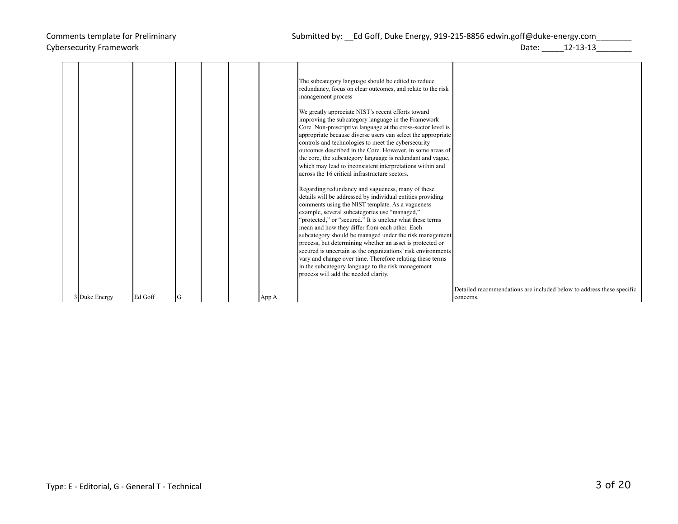|               |         |   |  |       | The subcategory language should be edited to reduce<br>redundancy, focus on clear outcomes, and relate to the risk<br>management process<br>We greatly appreciate NIST's recent efforts toward<br>improving the subcategory language in the Framework<br>Core. Non-prescriptive language at the cross-sector level is<br>appropriate because diverse users can select the appropriate<br>controls and technologies to meet the cybersecurity<br>outcomes described in the Core. However, in some areas of<br>the core, the subcategory language is redundant and vague,<br>which may lead to inconsistent interpretations within and<br>across the 16 critical infrastructure sectors.<br>Regarding redundancy and vagueness, many of these<br>details will be addressed by individual entities providing<br>comments using the NIST template. As a vagueness<br>example, several subcategories use "managed,"<br>"protected," or "secured." It is unclear what these terms<br>mean and how they differ from each other. Each<br>subcategory should be managed under the risk management<br>process, but determining whether an asset is protected or<br>secured is uncertain as the organizations' risk environments |                                                                                    |
|---------------|---------|---|--|-------|-----------------------------------------------------------------------------------------------------------------------------------------------------------------------------------------------------------------------------------------------------------------------------------------------------------------------------------------------------------------------------------------------------------------------------------------------------------------------------------------------------------------------------------------------------------------------------------------------------------------------------------------------------------------------------------------------------------------------------------------------------------------------------------------------------------------------------------------------------------------------------------------------------------------------------------------------------------------------------------------------------------------------------------------------------------------------------------------------------------------------------------------------------------------------------------------------------------------------|------------------------------------------------------------------------------------|
|               |         |   |  |       | vary and change over time. Therefore relating these terms<br>in the subcategory language to the risk management<br>process will add the needed clarity.                                                                                                                                                                                                                                                                                                                                                                                                                                                                                                                                                                                                                                                                                                                                                                                                                                                                                                                                                                                                                                                               |                                                                                    |
| 3 Duke Energy | Ed Goff | G |  | App A |                                                                                                                                                                                                                                                                                                                                                                                                                                                                                                                                                                                                                                                                                                                                                                                                                                                                                                                                                                                                                                                                                                                                                                                                                       | Detailed recommendations are included below to address these specific<br>concerns. |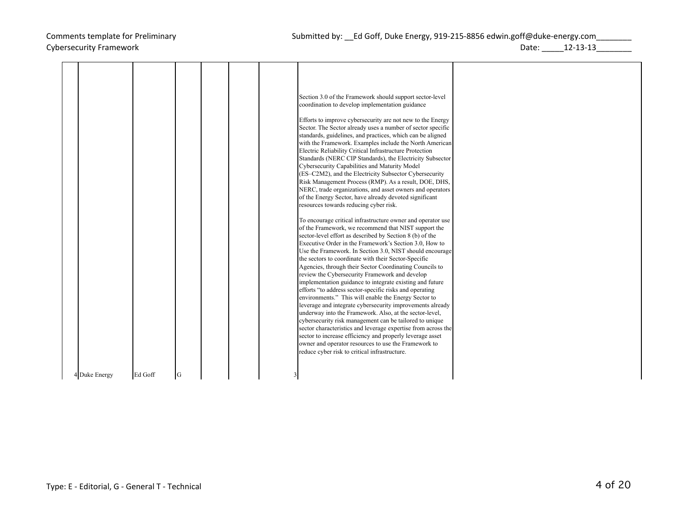|               |         |   |  |    | Section 3.0 of the Framework should support sector-level<br>coordination to develop implementation guidance<br>Efforts to improve cybersecurity are not new to the Energy<br>Sector. The Sector already uses a number of sector specific<br>standards, guidelines, and practices, which can be aligned<br>with the Framework. Examples include the North American<br>Electric Reliability Critical Infrastructure Protection<br>Standards (NERC CIP Standards), the Electricity Subsector<br>Cybersecurity Capabilities and Maturity Model<br>(ES-C2M2), and the Electricity Subsector Cybersecurity<br>Risk Management Process (RMP). As a result, DOE, DHS,<br>NERC, trade organizations, and asset owners and operators<br>of the Energy Sector, have already devoted significant<br>resources towards reducing cyber risk.<br>To encourage critical infrastructure owner and operator use<br>of the Framework, we recommend that NIST support the<br>sector-level effort as described by Section 8 (b) of the<br>Executive Order in the Framework's Section 3.0, How to<br>Use the Framework. In Section 3.0, NIST should encourage |  |
|---------------|---------|---|--|----|-----------------------------------------------------------------------------------------------------------------------------------------------------------------------------------------------------------------------------------------------------------------------------------------------------------------------------------------------------------------------------------------------------------------------------------------------------------------------------------------------------------------------------------------------------------------------------------------------------------------------------------------------------------------------------------------------------------------------------------------------------------------------------------------------------------------------------------------------------------------------------------------------------------------------------------------------------------------------------------------------------------------------------------------------------------------------------------------------------------------------------------------|--|
|               |         |   |  |    | the sectors to coordinate with their Sector-Specific<br>Agencies, through their Sector Coordinating Councils to<br>review the Cybersecurity Framework and develop<br>implementation guidance to integrate existing and future<br>efforts "to address sector-specific risks and operating<br>environments." This will enable the Energy Sector to<br>leverage and integrate cybersecurity improvements already<br>underway into the Framework. Also, at the sector-level,<br>cybersecurity risk management can be tailored to unique<br>sector characteristics and leverage expertise from across the                                                                                                                                                                                                                                                                                                                                                                                                                                                                                                                                    |  |
| 4 Duke Energy | Ed Goff | G |  | 31 | sector to increase efficiency and properly leverage asset<br>owner and operator resources to use the Framework to<br>reduce cyber risk to critical infrastructure.                                                                                                                                                                                                                                                                                                                                                                                                                                                                                                                                                                                                                                                                                                                                                                                                                                                                                                                                                                      |  |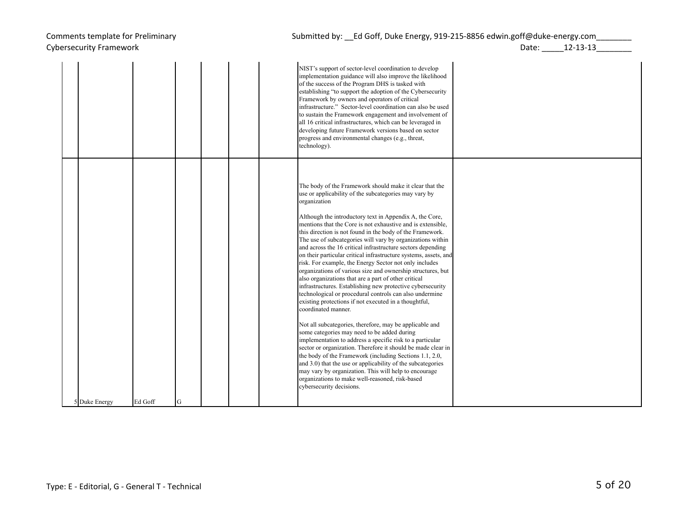# Comments template for Preliminary Submitted by:  $\mathsf{S}$ t<br>Cybersecurity Framework

| Submitted by: Ed Goff, Duke Energy, 919-215-8856 edwin.goff@duke-energy.com |                |  |
|-----------------------------------------------------------------------------|----------------|--|
|                                                                             | Date: 12-13-13 |  |

|              |         |   |  | NIST's support of sector-level coordination to develop<br>implementation guidance will also improve the likelihood<br>of the success of the Program DHS is tasked with<br>establishing "to support the adoption of the Cybersecurity<br>Framework by owners and operators of critical<br>infrastructure." Sector-level coordination can also be used<br>to sustain the Framework engagement and involvement of<br>all 16 critical infrastructures, which can be leveraged in<br>developing future Framework versions based on sector<br>progress and environmental changes (e.g., threat,<br>technology).                                                                                                                                                                                                                                                                                                                                                                                                                                                                                                                                                                                                                                                                                                                                                                                                                   |  |
|--------------|---------|---|--|-----------------------------------------------------------------------------------------------------------------------------------------------------------------------------------------------------------------------------------------------------------------------------------------------------------------------------------------------------------------------------------------------------------------------------------------------------------------------------------------------------------------------------------------------------------------------------------------------------------------------------------------------------------------------------------------------------------------------------------------------------------------------------------------------------------------------------------------------------------------------------------------------------------------------------------------------------------------------------------------------------------------------------------------------------------------------------------------------------------------------------------------------------------------------------------------------------------------------------------------------------------------------------------------------------------------------------------------------------------------------------------------------------------------------------|--|
| 5Duke Energy | Ed Goff | G |  | The body of the Framework should make it clear that the<br>use or applicability of the subcategories may vary by<br>organization<br>Although the introductory text in Appendix A, the Core,<br>mentions that the Core is not exhaustive and is extensible,<br>this direction is not found in the body of the Framework.<br>The use of subcategories will vary by organizations within<br>and across the 16 critical infrastructure sectors depending<br>on their particular critical infrastructure systems, assets, and<br>risk. For example, the Energy Sector not only includes<br>organizations of various size and ownership structures, but<br>also organizations that are a part of other critical<br>infrastructures. Establishing new protective cybersecurity<br>technological or procedural controls can also undermine<br>existing protections if not executed in a thoughtful,<br>coordinated manner.<br>Not all subcategories, therefore, may be applicable and<br>some categories may need to be added during<br>implementation to address a specific risk to a particular<br>sector or organization. Therefore it should be made clear in<br>the body of the Framework (including Sections 1.1, 2.0,<br>and 3.0) that the use or applicability of the subcategories<br>may vary by organization. This will help to encourage<br>organizations to make well-reasoned, risk-based<br>cybersecurity decisions. |  |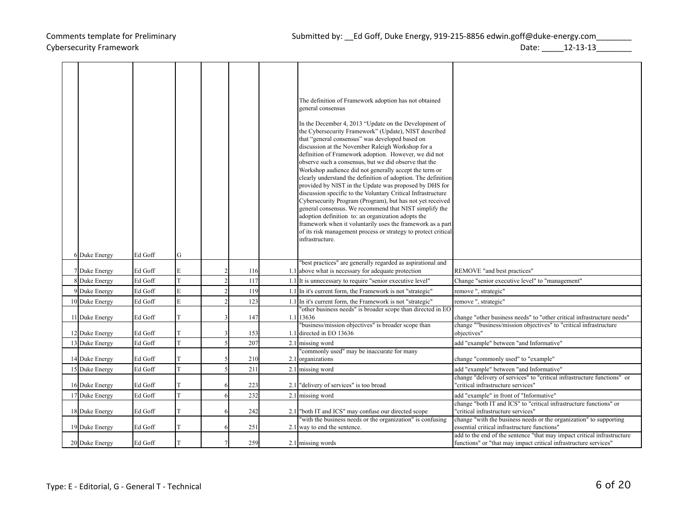|                |         |   |     | The definition of Framework adoption has not obtained<br>general consensus                                                                                                                                                                                                                                                                                                                                                                                                                                                                                                                                                                                                                                                                                                                                                                                                                                                    |                                                                                                                                             |
|----------------|---------|---|-----|-------------------------------------------------------------------------------------------------------------------------------------------------------------------------------------------------------------------------------------------------------------------------------------------------------------------------------------------------------------------------------------------------------------------------------------------------------------------------------------------------------------------------------------------------------------------------------------------------------------------------------------------------------------------------------------------------------------------------------------------------------------------------------------------------------------------------------------------------------------------------------------------------------------------------------|---------------------------------------------------------------------------------------------------------------------------------------------|
|                |         |   |     | In the December 4, 2013 "Update on the Development of<br>the Cybersecurity Framework" (Update), NIST described<br>that "general consensus" was developed based on<br>discussion at the November Raleigh Workshop for a<br>definition of Framework adoption. However, we did not<br>observe such a consensus, but we did observe that the<br>Workshop audience did not generally accept the term or<br>clearly understand the definition of adoption. The definition<br>provided by NIST in the Update was proposed by DHS for<br>discussion specific to the Voluntary Critical Infrastructure<br>Cybersecurity Program (Program), but has not yet received<br>general consensus. We recommend that NIST simplify the<br>adoption definition to: an organization adopts the<br>framework when it voluntarily uses the framework as a part<br>of its risk management process or strategy to protect critical<br>infrastructure. |                                                                                                                                             |
| 6 Duke Energy  | Ed Goff | G |     |                                                                                                                                                                                                                                                                                                                                                                                                                                                                                                                                                                                                                                                                                                                                                                                                                                                                                                                               |                                                                                                                                             |
| 7Duke Energy   | Ed Goff | E | 116 | "best practices" are generally regarded as aspirational and<br>$1.1$ above what is necessary for adequate protection                                                                                                                                                                                                                                                                                                                                                                                                                                                                                                                                                                                                                                                                                                                                                                                                          | REMOVE "and best practices"                                                                                                                 |
| 8Duke Energy   | Ed Goff |   | 117 | 1.1 It is unnecessary to require "senior executive level"                                                                                                                                                                                                                                                                                                                                                                                                                                                                                                                                                                                                                                                                                                                                                                                                                                                                     | Change "senior executive level" to "management"                                                                                             |
| 9Duke Energy   | Ed Goff | E | 119 | $1.1$ In it's current form, the Framework is not "strategic"                                                                                                                                                                                                                                                                                                                                                                                                                                                                                                                                                                                                                                                                                                                                                                                                                                                                  | remove ", strategic"                                                                                                                        |
| 10 Duke Energy | Ed Goff | E | 123 | 1.1 In it's current form, the Framework is not "strategic"                                                                                                                                                                                                                                                                                                                                                                                                                                                                                                                                                                                                                                                                                                                                                                                                                                                                    | remove ", strategic"                                                                                                                        |
| 11 Duke Energy | Ed Goff |   | 147 | "other business needs" is broader scope than directed in EO<br>1.1 13636                                                                                                                                                                                                                                                                                                                                                                                                                                                                                                                                                                                                                                                                                                                                                                                                                                                      | change "other business needs" to "other critical infrastructure needs"                                                                      |
| 12 Duke Energy | Ed Goff |   | 153 | "business/mission objectives" is broader scope than<br>1.1 directed in EO $13636$                                                                                                                                                                                                                                                                                                                                                                                                                                                                                                                                                                                                                                                                                                                                                                                                                                             | change ""business/mission objectives" to "critical infrastructure<br>objectives"                                                            |
| 13 Duke Energy | Ed Goff |   | 207 | $2.1$ missing word                                                                                                                                                                                                                                                                                                                                                                                                                                                                                                                                                                                                                                                                                                                                                                                                                                                                                                            | add "example" between "and Informative"                                                                                                     |
| 14 Duke Energy | Ed Goff |   | 210 | "commonly used" may be inaccurate for many<br>$2.1$ organizations                                                                                                                                                                                                                                                                                                                                                                                                                                                                                                                                                                                                                                                                                                                                                                                                                                                             | change "commonly used" to "example"                                                                                                         |
| 15 Duke Energy | Ed Goff |   | 211 | $2.1$ missing word                                                                                                                                                                                                                                                                                                                                                                                                                                                                                                                                                                                                                                                                                                                                                                                                                                                                                                            | add "example" between "and Informative"                                                                                                     |
| 16 Duke Energy | Ed Goff |   | 223 | 2.1 "delivery of services" is too broad                                                                                                                                                                                                                                                                                                                                                                                                                                                                                                                                                                                                                                                                                                                                                                                                                                                                                       | change "delivery of services" to "critical infrastructure functions" or<br>'critical infrastructure services"                               |
| 17 Duke Energy | Ed Goff |   | 232 | $2.1$ missing word                                                                                                                                                                                                                                                                                                                                                                                                                                                                                                                                                                                                                                                                                                                                                                                                                                                                                                            | add "example" in front of "Informative"                                                                                                     |
| 18 Duke Energy | Ed Goff |   | 242 | 2.1 "both IT and ICS" may confuse our directed scope                                                                                                                                                                                                                                                                                                                                                                                                                                                                                                                                                                                                                                                                                                                                                                                                                                                                          | change "both IT and ICS" to "critical infrastructure functions" or<br>'critical infrastructure services"                                    |
| 19 Duke Energy | Ed Goff |   | 251 | 'with the business needs or the organization" is confusing<br>$2.1$ way to end the sentence.                                                                                                                                                                                                                                                                                                                                                                                                                                                                                                                                                                                                                                                                                                                                                                                                                                  | change "with the business needs or the organization" to supporting<br>essential critical infrastructure functions"                          |
| 20 Duke Energy | Ed Goff |   | 259 | 2.1 missing words                                                                                                                                                                                                                                                                                                                                                                                                                                                                                                                                                                                                                                                                                                                                                                                                                                                                                                             | add to the end of the sentence "that may impact critical infrastructure<br>functions" or "that may impact critical infrastructure services" |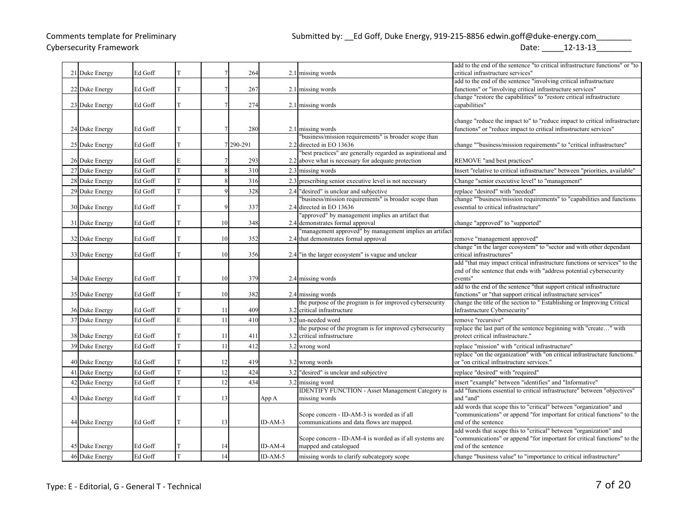|                |                          |     |    |           |           |                                                                                                                      | add to the end of the sentence "to critical infrastructure functions" or "to |
|----------------|--------------------------|-----|----|-----------|-----------|----------------------------------------------------------------------------------------------------------------------|------------------------------------------------------------------------------|
| 21 Duke Energy | Ed Goff                  |     |    | 264       |           | $2.1$ missing words                                                                                                  | critical infrastructure services"                                            |
|                |                          |     |    |           |           |                                                                                                                      | add to the end of the sentence "involving critical infrastructure            |
| 22 Duke Energy | Ed Goff                  |     |    | 267       |           | 2.1 missing words                                                                                                    | functions" or "involving critical infrastructure services"                   |
|                |                          |     |    |           |           |                                                                                                                      | change "restore the capabilities" to "restore critical infrastructure        |
| 23 Duke Energy | Ed Goff                  |     |    | 274       |           | 2.1 missing words                                                                                                    | capabilities"                                                                |
|                |                          |     |    |           |           |                                                                                                                      |                                                                              |
|                |                          |     |    |           |           |                                                                                                                      | change "reduce the impact to" to "reduce impact to critical infrastructure   |
| 24 Duke Energy | Ed Goff                  | T   |    | 280       |           | $2.1$ missing words                                                                                                  | functions" or "reduce impact to critical infrastructure services"            |
|                |                          |     |    |           |           | "business/mission requirements" is broader scope than                                                                |                                                                              |
| 25 Duke Energy | Ed Goff                  |     |    | 7 290-291 |           | 2.2 directed in EO $13636$                                                                                           | change ""business/mission requirements" to "critical infrastructure"         |
| 26 Duke Energy | Ed Goff                  | E   |    | 293       |           | "best practices" are generally regarded as aspirational and<br>$2.2$ above what is necessary for adequate protection | REMOVE "and best practices"                                                  |
|                |                          |     |    |           |           |                                                                                                                      |                                                                              |
| 27 Duke Energy | Ed Goff                  | T   |    | 310       |           | $2.3$ missing words                                                                                                  | Insert "relative to critical infrastructure" between "priorities, available" |
| 28 Duke Energy | Ed Goff                  |     |    | 316       |           | 2.3 prescribing senior executive level is not necessary                                                              | Change "senior executive level" to "management"                              |
| 29 Duke Energy | Ed Goff                  | T   |    | 328       | 2.4       | "desired" is unclear and subjective                                                                                  | replace "desired" with "needed"                                              |
|                |                          |     |    |           |           | "business/mission requirements" is broader scope than                                                                | change ""business/mission requirements" to "capabilities and functions       |
| 30 Duke Energy | Ed Goff                  |     |    | 337       |           | 2.4 directed in EO $13636$                                                                                           | essential to critical infrastructure"                                        |
|                |                          |     |    |           |           | "approved" by management implies an artifact that                                                                    |                                                                              |
| 31 Duke Energy | Ed Goff                  |     | 10 | 348       |           | 2.4 demonstrates formal approval                                                                                     | change "approved" to "supported"                                             |
|                |                          |     |    |           |           | "management approved" by management implies an artifac                                                               |                                                                              |
| 32 Duke Energy | Ed Goff                  |     | 10 | 352       |           | 2.4 that demonstrates formal approval                                                                                | remove "management approved"                                                 |
|                |                          |     |    |           |           |                                                                                                                      | change "in the larger ecosystem" to "sector and with other dependant         |
| 33 Duke Energy | Ed Goff                  | T   | 10 | 356       |           | 2.4 "in the larger ecosystem" is vague and unclear                                                                   | critical infrastructures"                                                    |
|                |                          |     |    |           |           |                                                                                                                      | add "that may impact critical infrastructure functions or services" to the   |
|                |                          |     |    |           |           |                                                                                                                      | end of the sentence that ends with "address potential cybersecurity          |
| 34 Duke Energy | Ed Goff                  | T   | 10 | 379       |           | 2.4 missing words                                                                                                    | events"                                                                      |
|                |                          |     |    |           |           |                                                                                                                      | add to the end of the sentence "that support critical infrastructure         |
| 35 Duke Energy | Ed Goff                  |     | 10 | 382       |           | $2.4$ missing words                                                                                                  | functions" or "that support critical infrastructure services"                |
|                |                          |     |    |           |           | the purpose of the program is for improved cybersecurity                                                             | change the title of the section to " Establishing or Improving Critical      |
| 36 Duke Energy | Ed Goff                  |     | 11 | 409       |           | 3.2 critical infrastructure                                                                                          | Infrastructure Cybersecurity"                                                |
| 37 Duke Energy | $\operatorname{Ed}$ Goff | E   | 11 | 410       |           | $3.2$ un-needed word                                                                                                 | remove "recursive"                                                           |
|                |                          |     |    |           |           | the purpose of the program is for improved cybersecurity                                                             | replace the last part of the sentence beginning with "create" with           |
| 38 Duke Energy | Ed Goff                  |     | 11 | 411       |           | 3.2 critical infrastructure                                                                                          | protect critical infrastructure."                                            |
| 39 Duke Energy | Ed Goff                  | T   | 11 | 412       |           | 3.2 wrong word                                                                                                       | replace "mission" with "critical infrastructure"                             |
|                |                          |     |    |           |           |                                                                                                                      | replace "on the organization" with "on critical infrastructure functions."   |
| 40 Duke Energy | Ed Goff                  |     | 12 | 419       |           | 3.2 wrong words                                                                                                      | or "on critical infrastructure services."                                    |
| 41 Duke Energy | Ed Goff                  | T   | 12 | 424       |           | 3.2 "desired" is unclear and subjective                                                                              | replace "desired" with "required"                                            |
| 42 Duke Energy | Ed Goff                  | T   | 12 | 434       |           | $3.2$ missing word                                                                                                   | insert "example" between "identifies" and "Informative"                      |
|                |                          |     |    |           |           | <b>IDENTIFY FUNCTION - Asset Management Category is</b>                                                              | add "functions essential to critical infrastructure" between "objectives"    |
| 43 Duke Energy | Ed Goff                  |     | 13 |           | App A     | missing words                                                                                                        | and "and"                                                                    |
|                |                          |     |    |           |           |                                                                                                                      | add words that scope this to "critical" between "organization" and           |
|                |                          |     |    |           |           | Scope concern - ID-AM-3 is worded as if all                                                                          | "communications" or append "for important for critical functions" to the     |
| 44 Duke Energy | Ed Goff                  |     | 13 |           | ID-AM-3   | communications and data flows are mapped.                                                                            | end of the sentence                                                          |
|                |                          |     |    |           |           |                                                                                                                      | add words that scope this to "critical" between "organization" and           |
|                |                          |     |    |           |           | Scope concern - ID-AM-4 is worded as if all systems are                                                              | "communications" or append "for important for critical functions" to the     |
| 45 Duke Energy | Ed Goff                  |     | 14 |           | $ID-AM-4$ | mapped and catalogued                                                                                                | end of the sentence                                                          |
| 46 Duke Energy | Ed Goff                  | lт. | 14 |           | $ID-AM-5$ |                                                                                                                      |                                                                              |
|                |                          |     |    |           |           | missing words to clarify subcategory scope                                                                           | change "business value" to "importance to critical infrastructure"           |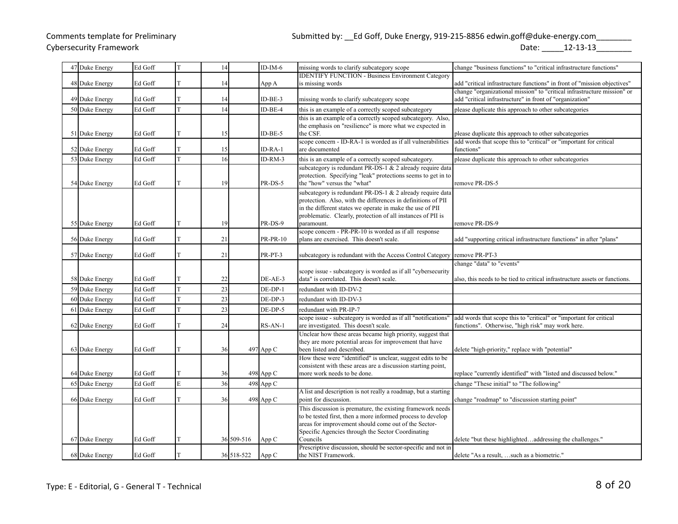# Cybersecurity Framework Date: \_\_\_\_\_12-13-13\_\_\_\_\_\_\_\_

### Comments template for Preliminary  $\blacksquare$  Submitted by: \_\_Ed Goff, Duke Energy, 919-215-8856 edwin.goff@duke-energy.com\_\_\_\_\_\_\_\_

| 47 Duke Energy | Ed Goff | T. | 14 |            | $ID$ -IM- $6$   | missing words to clarify subcategory scope                                                             | change "business functions" to "critical infrastructure functions"                                                                                  |
|----------------|---------|----|----|------------|-----------------|--------------------------------------------------------------------------------------------------------|-----------------------------------------------------------------------------------------------------------------------------------------------------|
|                |         |    |    |            |                 | <b>IDENTIFY FUNCTION - Business Environment Category</b>                                               |                                                                                                                                                     |
| 48 Duke Energy | Ed Goff |    | 14 |            | App A           | is missing words                                                                                       | add "critical infrastructure functions" in front of "mission objectives"<br>change "organizational mission" to "critical infrastructure mission" or |
| 49 Duke Energy | Ed Goff |    | 14 |            | $ID-BE-3$       | missing words to clarify subcategory scope                                                             | add "critical infrastructure" in front of "organization"                                                                                            |
| 50 Duke Energy | Ed Goff | T  | 14 |            | ID-BE-4         | this is an example of a correctly scoped subcategory                                                   | please duplicate this approach to other subcategories                                                                                               |
|                |         |    |    |            |                 | this is an example of a correctly scoped subcategory. Also,                                            |                                                                                                                                                     |
|                |         |    |    |            |                 | the emphasis on "resilience" is more what we expected in                                               |                                                                                                                                                     |
| 51 Duke Energy | Ed Goff | т  | 15 |            | $ID-BE-5$       | the CSF.                                                                                               | please duplicate this approach to other subcategories                                                                                               |
|                |         |    |    |            |                 | scope concern - ID-RA-1 is worded as if all vulnerabilities<br>are documented                          | add words that scope this to "critical" or "important for critical<br>functions"                                                                    |
| 52 Duke Energy | Ed Goff |    | 15 |            | ID-RA-1         |                                                                                                        |                                                                                                                                                     |
| 53 Duke Energy | Ed Goff | T  | 16 |            | ID-RM-3         | this is an example of a correctly scoped subcategory.                                                  | please duplicate this approach to other subcategories                                                                                               |
|                |         |    |    |            |                 | subcategory is redundant PR-DS-1 $&$ 2 already require data                                            |                                                                                                                                                     |
| 54 Duke Energy | Ed Goff | T  | 19 |            | PR-DS-5         | protection. Specifying "leak" protections seems to get in to<br>the "how" versus the "what"            | remove PR-DS-5                                                                                                                                      |
|                |         |    |    |            |                 | subcategory is redundant PR-DS-1 & 2 already require data                                              |                                                                                                                                                     |
|                |         |    |    |            |                 | protection. Also, with the differences in definitions of PII                                           |                                                                                                                                                     |
|                |         |    |    |            |                 | in the different states we operate in make the use of PII                                              |                                                                                                                                                     |
|                |         |    |    |            |                 | problematic. Clearly, protection of all instances of PII is                                            |                                                                                                                                                     |
| 55 Duke Energy | Ed Goff |    | 19 |            | PR-DS-9         | paramount.                                                                                             | remove PR-DS-9                                                                                                                                      |
|                |         |    |    |            |                 | scope concern - PR-PR-10 is worded as if all response                                                  |                                                                                                                                                     |
| 56 Duke Energy | Ed Goff |    | 21 |            | <b>PR-PR-10</b> | plans are exercised. This doesn't scale.                                                               | add "supporting critical infrastructure functions" in after "plans"                                                                                 |
| 57 Duke Energy | Ed Goff |    | 21 |            | PR-PT-3         | subcategory is redundant with the Access Control Category                                              | remove PR-PT-3                                                                                                                                      |
|                |         |    |    |            |                 |                                                                                                        | change "data" to "events"                                                                                                                           |
|                |         |    |    |            |                 | scope issue - subcategory is worded as if all "cybersecurity"                                          |                                                                                                                                                     |
| 58 Duke Energy | Ed Goff |    | 22 |            | DE-AE-3         | data" is correlated. This doesn't scale.                                                               | also, this needs to be tied to critical infrastructure assets or functions.                                                                         |
| 59 Duke Energy | Ed Goff | T  | 23 |            | DE-DP-1         | redundant with ID-DV-2                                                                                 |                                                                                                                                                     |
| 60 Duke Energy | Ed Goff | T  | 23 |            | DE-DP-3         | redundant with ID-DV-3                                                                                 |                                                                                                                                                     |
| 61 Duke Energy | Ed Goff | T  | 23 |            | DE-DP-5         | redundant with PR-IP-7                                                                                 |                                                                                                                                                     |
| 62 Duke Energy | Ed Goff | T  | 24 |            | $RS-AN-1$       | scope issue - subcategory is worded as if all "notifications"<br>are investigated. This doesn't scale. | add words that scope this to "critical" or "important for critical<br>functions". Otherwise, "high risk" may work here.                             |
|                |         |    |    |            |                 | Unclear how these areas became high priority, suggest that                                             |                                                                                                                                                     |
|                |         |    |    |            |                 | they are more potential areas for improvement that have                                                |                                                                                                                                                     |
| 63 Duke Energy | Ed Goff | T  | 36 |            | 497 App C       | been listed and described.                                                                             | delete "high-priority," replace with "potential"                                                                                                    |
|                |         |    |    |            |                 | How these were "identified" is unclear, suggest edits to be                                            |                                                                                                                                                     |
|                |         |    |    |            |                 | consistent with these areas are a discussion starting point,                                           |                                                                                                                                                     |
| 64 Duke Energy | Ed Goff | T  | 36 |            | 498 App C       | more work needs to be done.                                                                            | replace "currently identified" with "listed and discussed below."                                                                                   |
|                |         |    |    |            |                 |                                                                                                        |                                                                                                                                                     |
| 65 Duke Energy | Ed Goff | E  | 36 |            | 498 App C       |                                                                                                        | change "These initial" to "The following"                                                                                                           |
|                |         |    |    |            |                 | A list and description is not really a roadmap, but a starting                                         |                                                                                                                                                     |
| 66 Duke Energy | Ed Goff |    | 36 |            | 498 App C       | point for discussion.                                                                                  | change "roadmap" to "discussion starting point"                                                                                                     |
|                |         |    |    |            |                 | This discussion is premature, the existing framework needs                                             |                                                                                                                                                     |
|                |         |    |    |            |                 | to be tested first, then a more informed process to develop                                            |                                                                                                                                                     |
|                |         |    |    |            |                 | areas for improvement should come out of the Sector-                                                   |                                                                                                                                                     |
| 67 Duke Energy | Ed Goff | T  |    | 36 509-516 | App C           | Specific Agencies through the Sector Coordinating<br>Councils                                          | delete "but these highlightedaddressing the challenges."                                                                                            |
| 68 Duke Energy | Ed Goff | T  |    | 36 518-522 | App C           | Prescriptive discussion, should be sector-specific and not in<br>the NIST Framework.                   | delete "As a result, such as a biometric."                                                                                                          |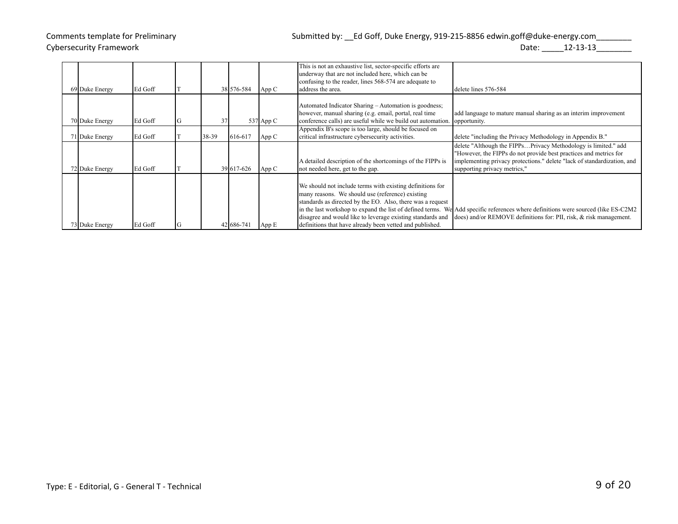|                |         |       |            |           | This is not an exhaustive list, sector-specific efforts are<br>underway that are not included here, which can be<br>confusing to the reader, lines 568-574 are adequate to                                                                                                                            |                                                                                                                                                                                                                                                |
|----------------|---------|-------|------------|-----------|-------------------------------------------------------------------------------------------------------------------------------------------------------------------------------------------------------------------------------------------------------------------------------------------------------|------------------------------------------------------------------------------------------------------------------------------------------------------------------------------------------------------------------------------------------------|
| 69 Duke Energy | Ed Goff |       | 38 576-584 | App C     | address the area.                                                                                                                                                                                                                                                                                     | delete lines 576-584                                                                                                                                                                                                                           |
| 70 Duke Energy | Ed Goff | 37    |            | 537 App C | Automated Indicator Sharing – Automation is goodness;<br>however, manual sharing (e.g. email, portal, real time<br>conference calls) are useful while we build out automation.                                                                                                                        | add language to mature manual sharing as an interim improvement<br>opportunity.                                                                                                                                                                |
| 71 Duke Energy | Ed Goff | 38-39 | 616-617    | App C     | Appendix B's scope is too large, should be focused on<br>critical infrastructure cybersecurity activities.                                                                                                                                                                                            | delete "including the Privacy Methodology in Appendix B."                                                                                                                                                                                      |
| 72 Duke Energy | Ed Goff |       | 39 617-626 | App C     | A detailed description of the shortcomings of the FIPPs is<br>not needed here, get to the gap.                                                                                                                                                                                                        | delete "Although the FIPPsPrivacy Methodology is limited." add<br>"However, the FIPPs do not provide best practices and metrics for<br>implementing privacy protections." delete "lack of standardization, and<br>supporting privacy metrics," |
| 73 Duke Energy | Ed Goff |       | 42 686-741 | App E     | We should not include terms with existing definitions for<br>many reasons. We should use (reference) existing<br>standards as directed by the EO. Also, there was a request<br>disagree and would like to leverage existing standards and<br>definitions that have already been vetted and published. | in the last workshop to expand the list of defined terms. We Add specific references where definitions were sourced (like ES-C2M2)<br>does) and/or REMOVE definitions for: PII, risk, & risk management.                                       |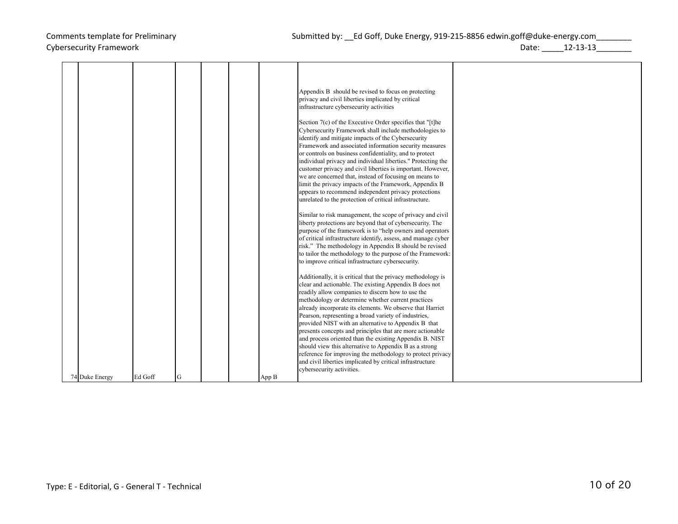|                |         |   |  |       | Appendix B should be revised to focus on protecting<br>privacy and civil liberties implicated by critical<br>infrastructure cybersecurity activities                                                                                                                                                                                                                                                                                                                                                                                                                                                                                                                 |  |
|----------------|---------|---|--|-------|----------------------------------------------------------------------------------------------------------------------------------------------------------------------------------------------------------------------------------------------------------------------------------------------------------------------------------------------------------------------------------------------------------------------------------------------------------------------------------------------------------------------------------------------------------------------------------------------------------------------------------------------------------------------|--|
|                |         |   |  |       | Section 7(c) of the Executive Order specifies that "[t]he<br>Cybersecurity Framework shall include methodologies to<br>identify and mitigate impacts of the Cybersecurity<br>Framework and associated information security measures<br>or controls on business confidentiality, and to protect<br>individual privacy and individual liberties." Protecting the<br>customer privacy and civil liberties is important. However,<br>we are concerned that, instead of focusing on means to<br>limit the privacy impacts of the Framework, Appendix B<br>appears to recommend independent privacy protections<br>unrelated to the protection of critical infrastructure. |  |
|                |         |   |  |       | Similar to risk management, the scope of privacy and civil<br>liberty protections are beyond that of cybersecurity. The<br>purpose of the framework is to "help owners and operators"<br>of critical infrastructure identify, assess, and manage cyber<br>risk." The methodology in Appendix B should be revised<br>to tailor the methodology to the purpose of the Framework:<br>to improve critical infrastructure cybersecurity.                                                                                                                                                                                                                                  |  |
|                |         |   |  |       | Additionally, it is critical that the privacy methodology is<br>clear and actionable. The existing Appendix B does not<br>readily allow companies to discern how to use the<br>methodology or determine whether current practices<br>already incorporate its elements. We observe that Harriet<br>Pearson, representing a broad variety of industries,<br>provided NIST with an alternative to Appendix B that<br>presents concepts and principles that are more actionable<br>and process oriented than the existing Appendix B. NIST<br>should view this alternative to Appendix B as a strong<br>reference for improving the methodology to protect privacy       |  |
|                |         |   |  |       | and civil liberties implicated by critical infrastructure<br>cybersecurity activities.                                                                                                                                                                                                                                                                                                                                                                                                                                                                                                                                                                               |  |
| 74 Duke Energy | Ed Goff | G |  | App B |                                                                                                                                                                                                                                                                                                                                                                                                                                                                                                                                                                                                                                                                      |  |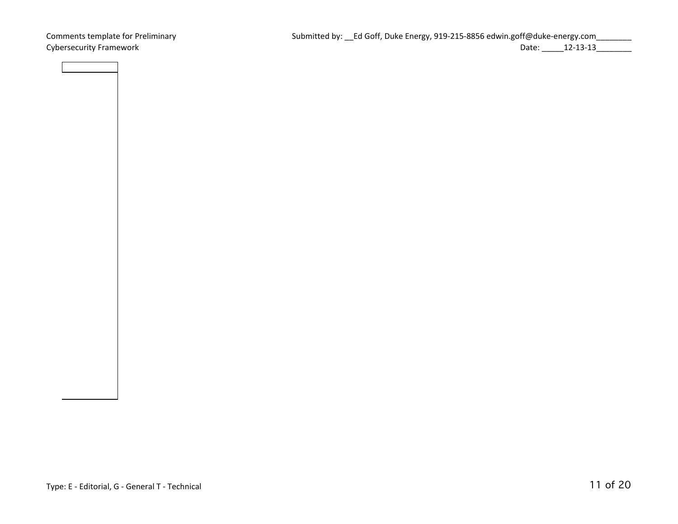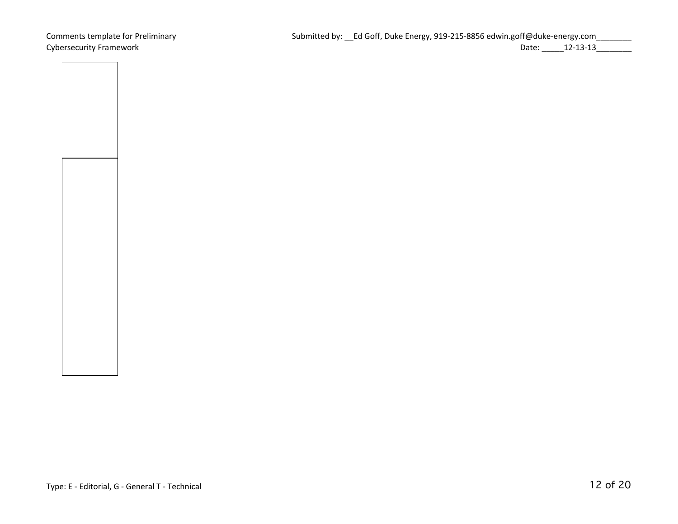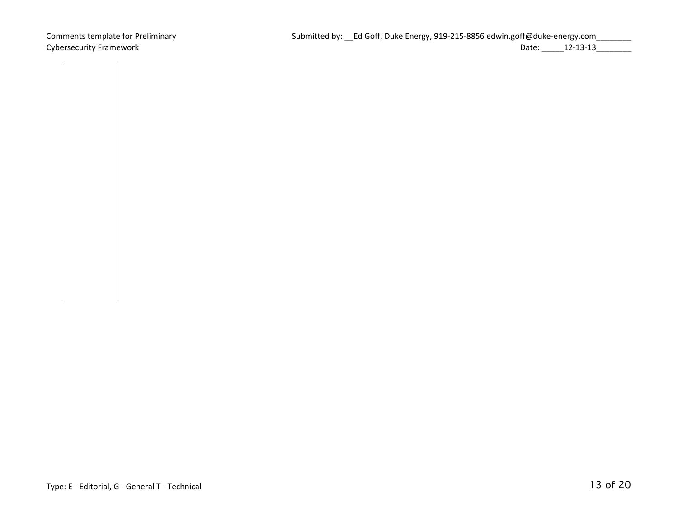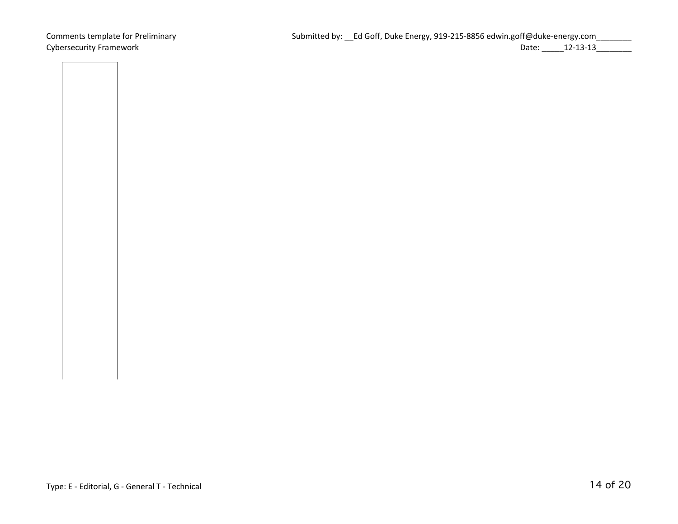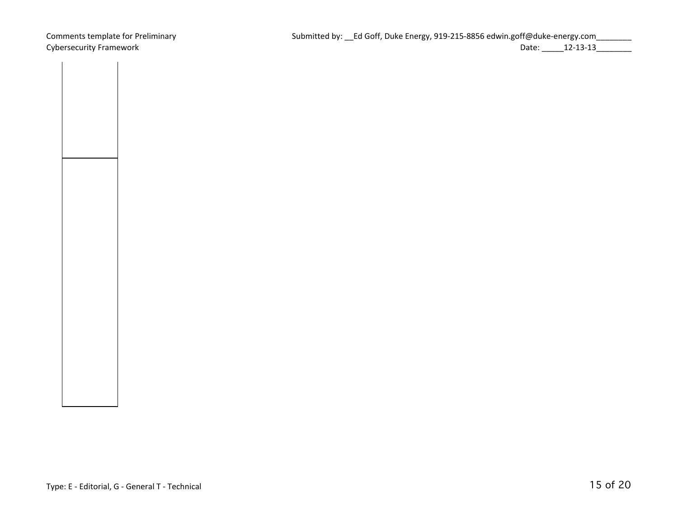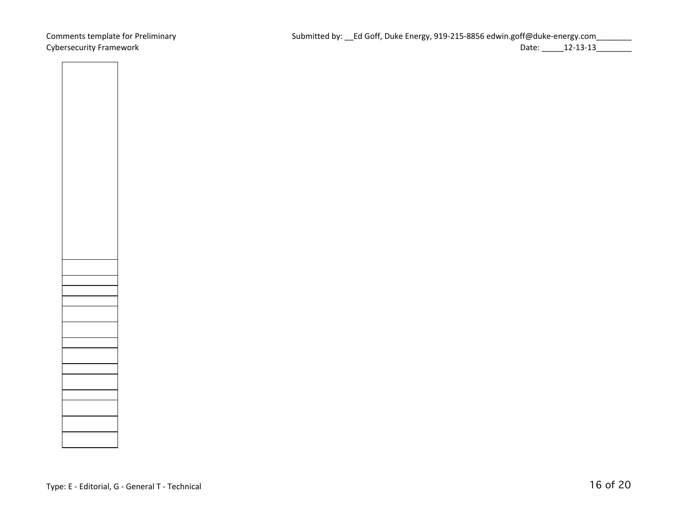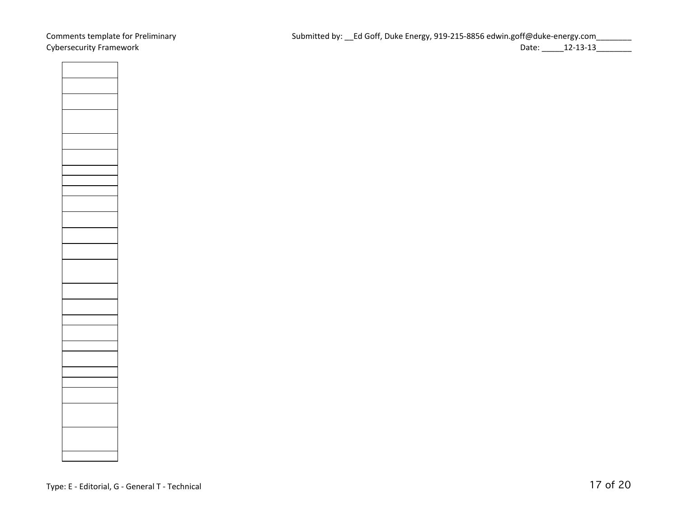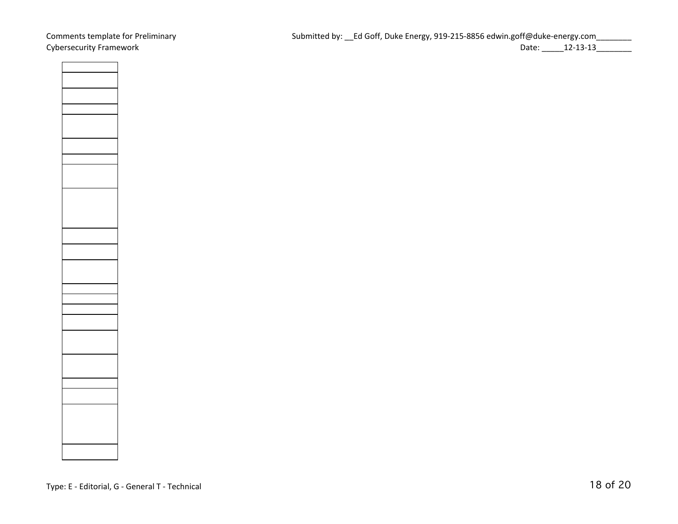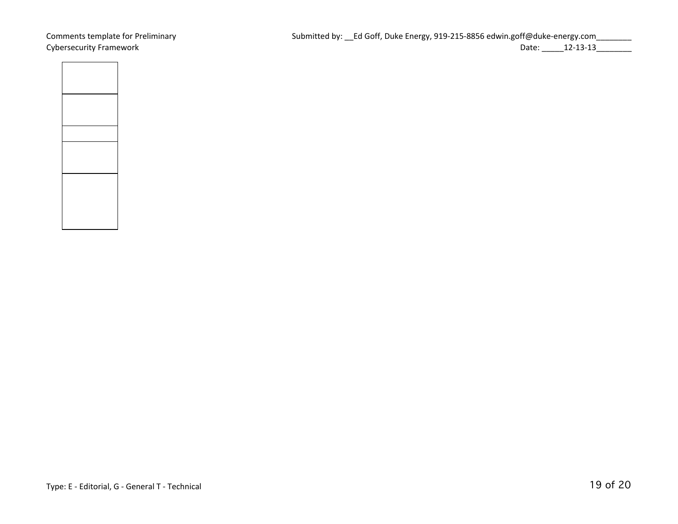